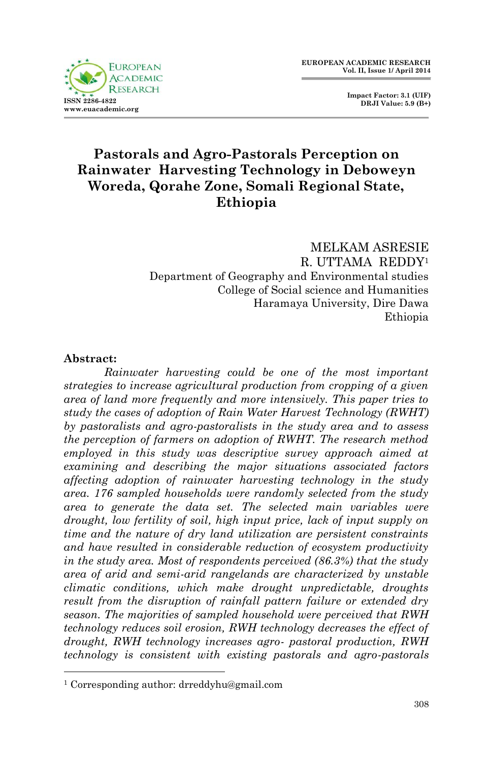

 **Impact Factor: 3.1 (UIF) DRJI Value: 5.9 (B+)**

# **Pastorals and Agro-Pastorals Perception on Rainwater Harvesting Technology in Deboweyn Woreda, Qorahe Zone, Somali Regional State, Ethiopia**

MELKAM ASRESIE R. UTTAMA REDDY<sup>1</sup> Department of Geography and Environmental studies College of Social science and Humanities Haramaya University, Dire Dawa Ethiopia

#### **Abstract:**

1

*Rainwater harvesting could be one of the most important strategies to increase agricultural production from cropping of a given area of land more frequently and more intensively. This paper tries to study the cases of adoption of Rain Water Harvest Technology (RWHT) by pastoralists and agro-pastoralists in the study area and to assess the perception of farmers on adoption of RWHT. The research method employed in this study was descriptive survey approach aimed at examining and describing the major situations associated factors affecting adoption of rainwater harvesting technology in the study area. 176 sampled households were randomly selected from the study area to generate the data set. The selected main variables were drought, low fertility of soil, high input price, lack of input supply on time and the nature of dry land utilization are persistent constraints and have resulted in considerable reduction of ecosystem productivity in the study area. Most of respondents perceived (86.3%) that the study area of arid and semi-arid rangelands are characterized by unstable climatic conditions, which make drought unpredictable, droughts result from the disruption of rainfall pattern failure or extended dry season. The majorities of sampled household were perceived that RWH technology reduces soil erosion, RWH technology decreases the effect of drought, RWH technology increases agro- pastoral production, RWH technology is consistent with existing pastorals and agro-pastorals* 

<sup>1</sup> Corresponding author: drreddyhu@gmail.com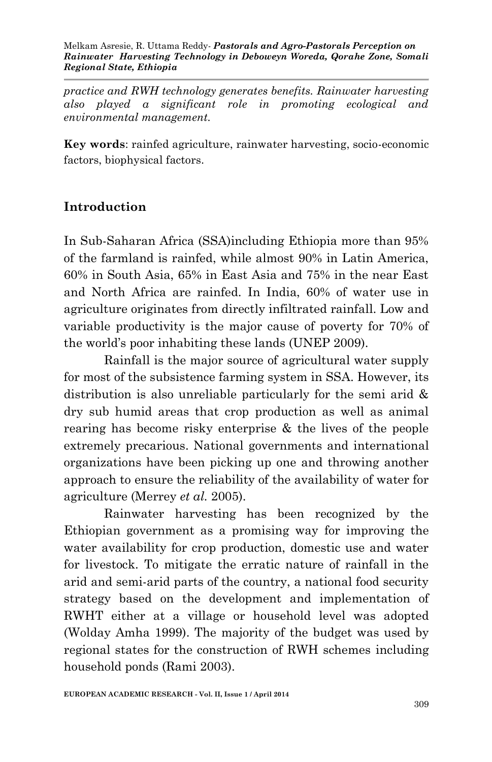*practice and RWH technology generates benefits. Rainwater harvesting also played a significant role in promoting ecological and environmental management.*

**Key words**: rainfed agriculture, rainwater harvesting, socio-economic factors, biophysical factors.

## **Introduction**

In Sub-Saharan Africa (SSA)including Ethiopia more than 95% of the farmland is rainfed, while almost 90% in Latin America, 60% in South Asia, 65% in East Asia and 75% in the near East and North Africa are rainfed. In India, 60% of water use in agriculture originates from directly infiltrated rainfall. Low and variable productivity is the major cause of poverty for 70% of the world's poor inhabiting these lands (UNEP 2009).

Rainfall is the major source of agricultural water supply for most of the subsistence farming system in SSA. However, its distribution is also unreliable particularly for the semi arid & dry sub humid areas that crop production as well as animal rearing has become risky enterprise & the lives of the people extremely precarious. National governments and international organizations have been picking up one and throwing another approach to ensure the reliability of the availability of water for agriculture (Merrey *et al.* 2005).

Rainwater harvesting has been recognized by the Ethiopian government as a promising way for improving the water availability for crop production, domestic use and water for livestock. To mitigate the erratic nature of rainfall in the arid and semi-arid parts of the country, a national food security strategy based on the development and implementation of RWHT either at a village or household level was adopted (Wolday Amha 1999). The majority of the budget was used by regional states for the construction of RWH schemes including household ponds (Rami 2003).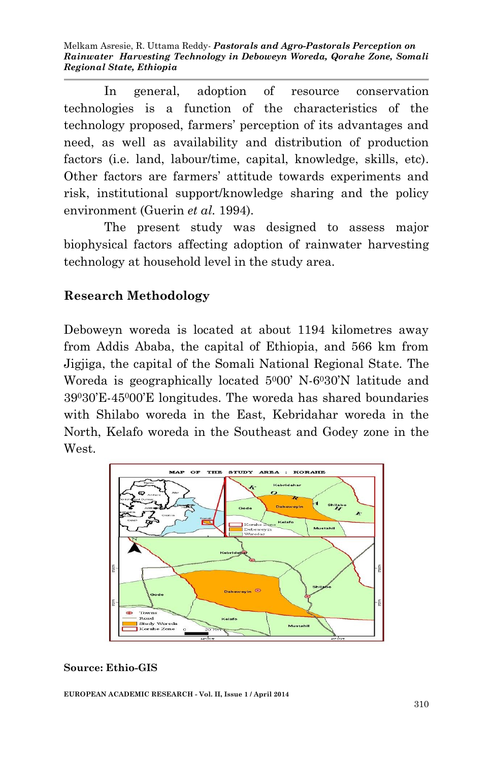Melkam Asresie, R. Uttama Reddy*- Pastorals and Agro-Pastorals Perception on Rainwater Harvesting Technology in Deboweyn Woreda, Qorahe Zone, Somali Regional State, Ethiopia*

In general, adoption of resource conservation technologies is a function of the characteristics of the technology proposed, farmers' perception of its advantages and need, as well as availability and distribution of production factors (i.e. land, labour/time, capital, knowledge, skills, etc). Other factors are farmers' attitude towards experiments and risk, institutional support/knowledge sharing and the policy environment (Guerin *et al.* 1994).

The present study was designed to assess major biophysical factors affecting adoption of rainwater harvesting technology at household level in the study area.

#### **Research Methodology**

Deboweyn woreda is located at about 1194 kilometres away from Addis Ababa, the capital of Ethiopia, and 566 km from Jigjiga, the capital of the Somali National Regional State. The Woreda is geographically located 5000' N-6030'N latitude and 39030'E-45000'E longitudes. The woreda has shared boundaries with Shilabo woreda in the East, Kebridahar woreda in the North, Kelafo woreda in the Southeast and Godey zone in the West.



#### **Source: Ethio-GIS**

**EUROPEAN ACADEMIC RESEARCH - Vol. II, Issue 1 / April 2014**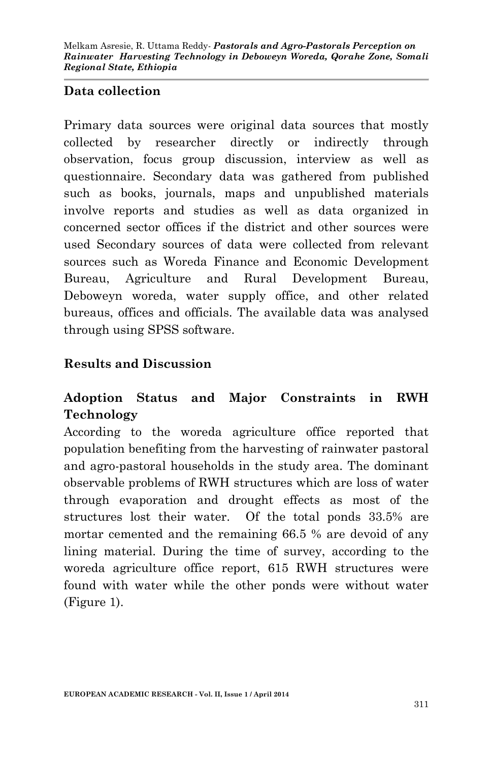#### **Data collection**

Primary data sources were original data sources that mostly collected by researcher directly or indirectly through observation, focus group discussion, interview as well as questionnaire. Secondary data was gathered from published such as books, journals, maps and unpublished materials involve reports and studies as well as data organized in concerned sector offices if the district and other sources were used Secondary sources of data were collected from relevant sources such as Woreda Finance and Economic Development Bureau, Agriculture and Rural Development Bureau, Deboweyn woreda, water supply office, and other related bureaus, offices and officials. The available data was analysed through using SPSS software.

#### **Results and Discussion**

# **Adoption Status and Major Constraints in RWH Technology**

According to the woreda agriculture office reported that population benefiting from the harvesting of rainwater pastoral and agro-pastoral households in the study area. The dominant observable problems of RWH structures which are loss of water through evaporation and drought effects as most of the structures lost their water. Of the total ponds 33.5% are mortar cemented and the remaining 66.5 % are devoid of any lining material. During the time of survey, according to the woreda agriculture office report, 615 RWH structures were found with water while the other ponds were without water (Figure 1).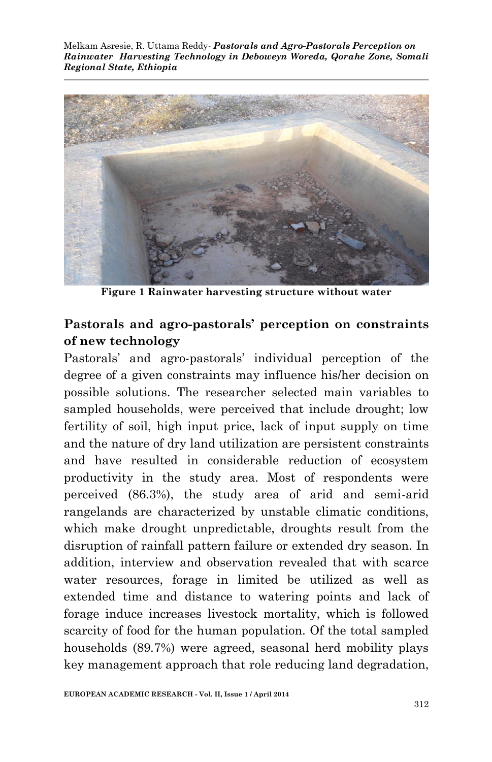Melkam Asresie, R. Uttama Reddy*- Pastorals and Agro-Pastorals Perception on Rainwater Harvesting Technology in Deboweyn Woreda, Qorahe Zone, Somali Regional State, Ethiopia*



**Figure 1 Rainwater harvesting structure without water**

## **Pastorals and agro-pastorals' perception on constraints of new technology**

Pastorals' and agro-pastorals' individual perception of the degree of a given constraints may influence his/her decision on possible solutions. The researcher selected main variables to sampled households, were perceived that include drought; low fertility of soil, high input price, lack of input supply on time and the nature of dry land utilization are persistent constraints and have resulted in considerable reduction of ecosystem productivity in the study area. Most of respondents were perceived (86.3%), the study area of arid and semi-arid rangelands are characterized by unstable climatic conditions, which make drought unpredictable, droughts result from the disruption of rainfall pattern failure or extended dry season. In addition, interview and observation revealed that with scarce water resources, forage in limited be utilized as well as extended time and distance to watering points and lack of forage induce increases livestock mortality, which is followed scarcity of food for the human population. Of the total sampled households (89.7%) were agreed, seasonal herd mobility plays key management approach that role reducing land degradation,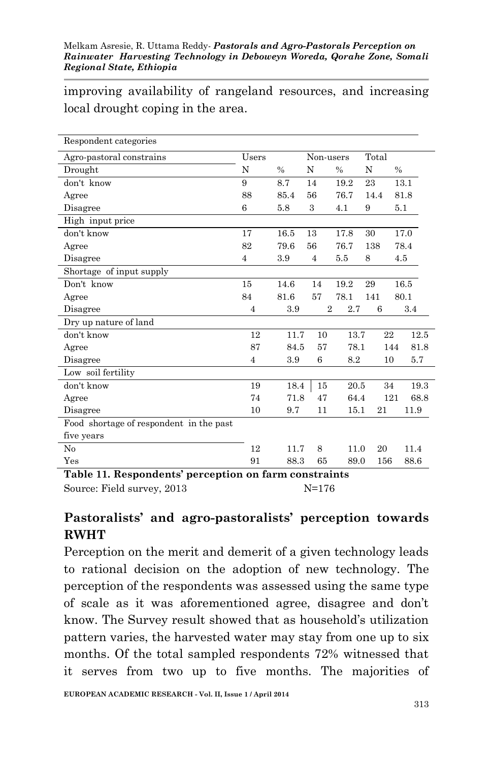improving availability of rangeland resources, and increasing local drought coping in the area.

| Respondent categories                   |                |               |                |      |       |               |
|-----------------------------------------|----------------|---------------|----------------|------|-------|---------------|
| Agro-pastoral constrains                | Users          |               | Non-users      |      | Total |               |
| Drought                                 | N              | $\frac{0}{0}$ | N              | $\%$ | N     | $\frac{0}{0}$ |
| don't know                              | 9              | 8.7           | 14             | 19.2 | 23    | 13.1          |
| Agree                                   | 88             | 85.4          | 56             | 76.7 | 14.4  | 81.8          |
| Disagree                                | 6              | 5.8           | 3              | 4.1  | 9     | 5.1           |
| High input price                        |                |               |                |      |       |               |
| don't know                              | 17             | 16.5          | 13             | 17.8 | 30    | 17.0          |
| Agree                                   | 82             | 79.6          | 56             | 76.7 | 138   | 78.4          |
| Disagree                                | 4              | 3.9           | $\overline{4}$ | 5.5  | 8     | 4.5           |
| Shortage of input supply                |                |               |                |      |       |               |
| Don't know                              | 15             | 14.6          | 14             | 19.2 | 29    | 16.5          |
| Agree                                   | 84             | 81.6          | 57             | 78.1 | 141   | 80.1          |
| Disagree                                | $\overline{4}$ | 3.9           | $\overline{2}$ | 2.7  | 6     | 3.4           |
| Dry up nature of land                   |                |               |                |      |       |               |
| don't know                              | 12             | 11.7          | 10             | 13.7 | 22    | 12.5          |
| Agree                                   | 87             | 84.5          | 57             | 78.1 |       | 81.8<br>144   |
| Disagree                                | $\overline{4}$ | 3.9           | 6              | 8.2  | 10    | 5.7           |
| Low soil fertility                      |                |               |                |      |       |               |
| don't know                              | 19             | 18.4          | 15             | 20.5 | 34    | 19.3          |
| Agree                                   | 74             | 71.8          | 47             | 64.4 |       | 121<br>68.8   |
| Disagree                                | 10             | 9.7           | 11             | 15.1 | 21    | 11.9          |
| Food shortage of respondent in the past |                |               |                |      |       |               |
| five years                              |                |               |                |      |       |               |
| No                                      | 12             | 11.7          | 8              | 11.0 | 20    | 11.4          |
| Yes                                     | 91             | 88.3          | 65             | 89.0 | 156   | 88.6          |

**Table 11. Respondents' perception on farm constraints** Source: Field survey, 2013 N=176

#### **Pastoralists' and agro-pastoralists' perception towards RWHT**

Perception on the merit and demerit of a given technology leads to rational decision on the adoption of new technology. The perception of the respondents was assessed using the same type of scale as it was aforementioned agree, disagree and don't know. The Survey result showed that as household's utilization pattern varies, the harvested water may stay from one up to six months. Of the total sampled respondents 72% witnessed that it serves from two up to five months. The majorities of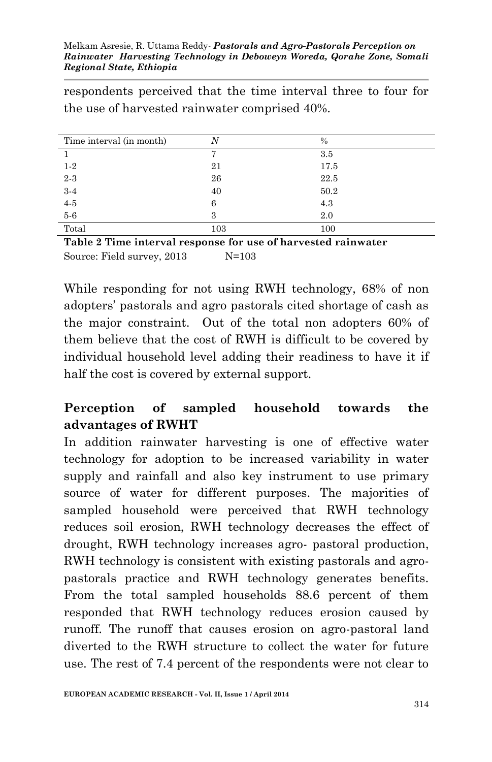respondents perceived that the time interval three to four for the use of harvested rainwater comprised 40%.

| Time interval (in month) |     | $\%$ |
|--------------------------|-----|------|
|                          |     | 3.5  |
| $1-2$                    | 21  | 17.5 |
| $2 - 3$                  | 26  | 22.5 |
| $3-4$                    | 40  | 50.2 |
| $4-5$                    | 6   | 4.3  |
| $5-6$                    | 3   | 2.0  |
| Total                    | 103 | 100  |

**Table 2 Time interval response for use of harvested rainwater** Source: Field survey, 2013 N=103

While responding for not using RWH technology, 68% of non adopters' pastorals and agro pastorals cited shortage of cash as the major constraint. Out of the total non adopters 60% of them believe that the cost of RWH is difficult to be covered by individual household level adding their readiness to have it if half the cost is covered by external support.

# **Perception of sampled household towards the advantages of RWHT**

In addition rainwater harvesting is one of effective water technology for adoption to be increased variability in water supply and rainfall and also key instrument to use primary source of water for different purposes. The majorities of sampled household were perceived that RWH technology reduces soil erosion, RWH technology decreases the effect of drought, RWH technology increases agro- pastoral production, RWH technology is consistent with existing pastorals and agropastorals practice and RWH technology generates benefits. From the total sampled households 88.6 percent of them responded that RWH technology reduces erosion caused by runoff. The runoff that causes erosion on agro-pastoral land diverted to the RWH structure to collect the water for future use. The rest of 7.4 percent of the respondents were not clear to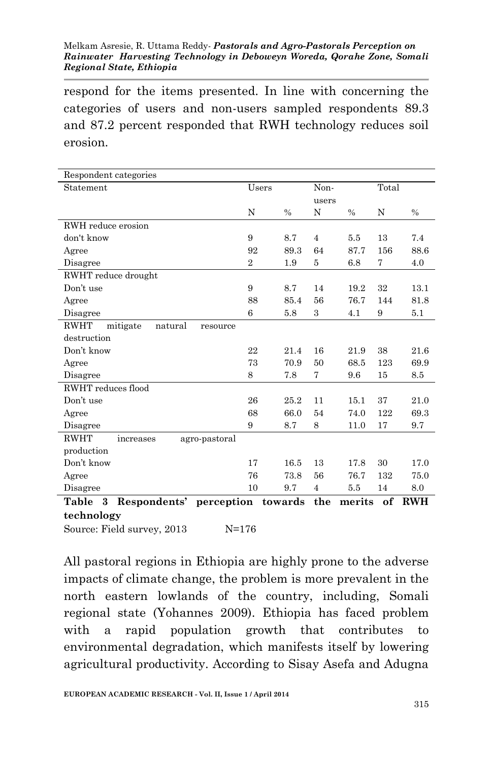#### Melkam Asresie, R. Uttama Reddy*- Pastorals and Agro-Pastorals Perception on Rainwater Harvesting Technology in Deboweyn Woreda, Qorahe Zone, Somali Regional State, Ethiopia*

respond for the items presented. In line with concerning the categories of users and non-users sampled respondents 89.3 and 87.2 percent responded that RWH technology reduces soil erosion.

| Respondent categories                           |                |               |                |               |       |               |
|-------------------------------------------------|----------------|---------------|----------------|---------------|-------|---------------|
| Statement                                       | Users          |               | Non-           |               | Total |               |
|                                                 |                |               | users          |               |       |               |
|                                                 | N              | $\frac{0}{0}$ | N              | $\frac{0}{0}$ | N     | $\frac{0}{0}$ |
| RWH reduce erosion                              |                |               |                |               |       |               |
| don't know                                      | 9              | 8.7           | $\overline{4}$ | 5.5           | 13    | 7.4           |
| Agree                                           | 92             | 89.3          | 64             | 87.7          | 156   | 88.6          |
| Disagree                                        | $\overline{2}$ | 1.9           | 5              | 6.8           | 7     | 4.0           |
| RWHT reduce drought                             |                |               |                |               |       |               |
| Don't use                                       | 9              | 8.7           | 14             | 19.2          | 32    | 13.1          |
| Agree                                           | 88             | 85.4          | 56             | 76.7          | 144   | 81.8          |
| Disagree                                        | 6              | 5.8           | 3              | 4.1           | 9     | 5.1           |
| <b>RWHT</b><br>mitigate<br>natural<br>resource  |                |               |                |               |       |               |
| destruction                                     |                |               |                |               |       |               |
| Don't know                                      | 22             | 21.4          | 16             | 21.9          | 38    | 21.6          |
| Agree                                           | 73             | 70.9          | 50             | 68.5          | 123   | 69.9          |
| Disagree                                        | 8              | 7.8           | 7              | 9.6           | 15    | 8.5           |
| RWHT reduces flood                              |                |               |                |               |       |               |
| Don't use                                       | 26             | 25.2          | 11             | 15.1          | 37    | 21.0          |
| Agree                                           | 68             | 66.0          | 54             | 74.0          | 122   | 69.3          |
| Disagree                                        | 9              | 8.7           | 8              | 11.0          | 17    | 9.7           |
| <b>RWHT</b><br>agro-pastoral<br>increases       |                |               |                |               |       |               |
| production                                      |                |               |                |               |       |               |
| Don't know                                      | 17             | 16.5          | 13             | 17.8          | 30    | 17.0          |
| Agree                                           | 76             | 73.8          | 56             | 76.7          | 132   | 75.0          |
| Disagree                                        | 10             | 9.7           | $\overline{4}$ | 5.5           | 14    | 8.0           |
| <b>Table</b><br>3<br>Respondents'<br>perception |                | towards       | the            | merits        | of    | <b>RWH</b>    |
| technology                                      |                |               |                |               |       |               |

Source: Field survey, 2013 N=176

All pastoral regions in Ethiopia are highly prone to the adverse impacts of climate change, the problem is more prevalent in the north eastern lowlands of the country, including, Somali regional state (Yohannes 2009). Ethiopia has faced problem with a rapid population growth that contributes to environmental degradation, which manifests itself by lowering agricultural productivity. According to Sisay Asefa and Adugna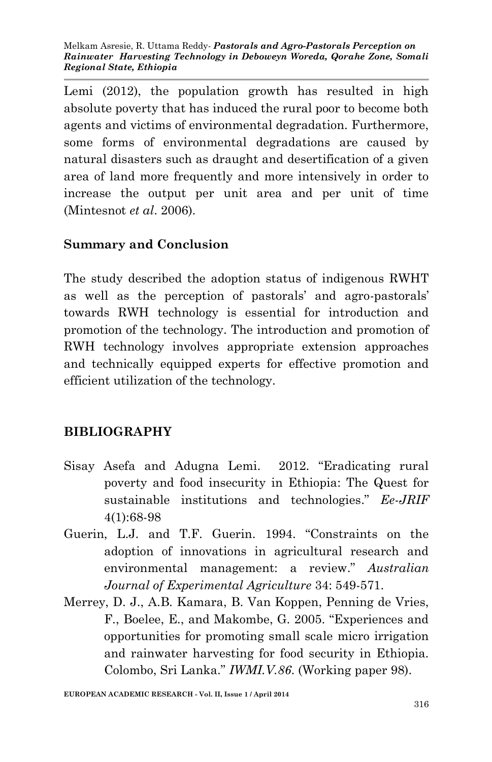Lemi (2012), the population growth has resulted in high absolute poverty that has induced the rural poor to become both agents and victims of environmental degradation. Furthermore, some forms of environmental degradations are caused by natural disasters such as draught and desertification of a given area of land more frequently and more intensively in order to increase the output per unit area and per unit of time (Mintesnot *et al*. 2006).

## **Summary and Conclusion**

The study described the adoption status of indigenous RWHT as well as the perception of pastorals' and agro-pastorals' towards RWH technology is essential for introduction and promotion of the technology. The introduction and promotion of RWH technology involves appropriate extension approaches and technically equipped experts for effective promotion and efficient utilization of the technology.

# **BIBLIOGRAPHY**

- Sisay Asefa and Adugna Lemi. 2012. "Eradicating rural poverty and food insecurity in Ethiopia: The Quest for sustainable institutions and technologies." *Ee-JRIF* 4(1):68-98
- Guerin, L.J. and T.F. Guerin. 1994. "Constraints on the adoption of innovations in agricultural research and environmental management: a review." *Australian Journal of Experimental Agriculture* 34: 549-571.
- Merrey, D. J., A.B. Kamara, B. Van Koppen, Penning de Vries, F., Boelee, E., and Makombe, G. 2005. "Experiences and opportunities for promoting small scale micro irrigation and rainwater harvesting for food security in Ethiopia. Colombo, Sri Lanka." *IWMI.V.86*. (Working paper 98).